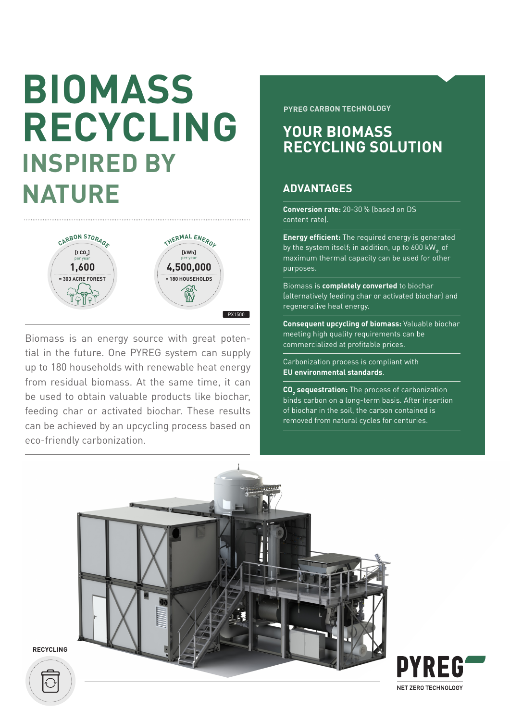# **BIOMASS RECYCLING INSPIRED BY NATURE**



Biomass is an energy source with great potential in the future. One PYREG system can supply up to 180 households with renewable heat energy from residual biomass. At the same time, it can be used to obtain valuable products like biochar, feeding char or activated biochar. These results can be achieved by an upcycling process based on eco-friendly carbonization.

**PYREG CARBON TECHNOLOGY**

### **YOUR BIOMASS RECYCLING SOLUTION**

### **ADVANTAGES**

**Conversion rate:** 20-30 % (based on DS content rate).

**Energy efficient:** The required energy is generated by the system itself; in addition, up to 600 kW<sub>th</sub> of maximum thermal capacity can be used for other purposes.

Biomass is **completely converted** to biochar (alternatively feeding char or activated biochar) and regenerative heat energy.

**Consequent upcycling of biomass:** Valuable biochar meeting high quality requirements can be commercialized at profitable prices.

Carbonization process is compliant with **EU environmental standards**.

**CO<sub>2</sub>** sequestration: The process of carbonization binds carbon on a long-term basis. After insertion of biochar in the soil, the carbon contained is removed from natural cycles for centuries.





**RECYCLING**